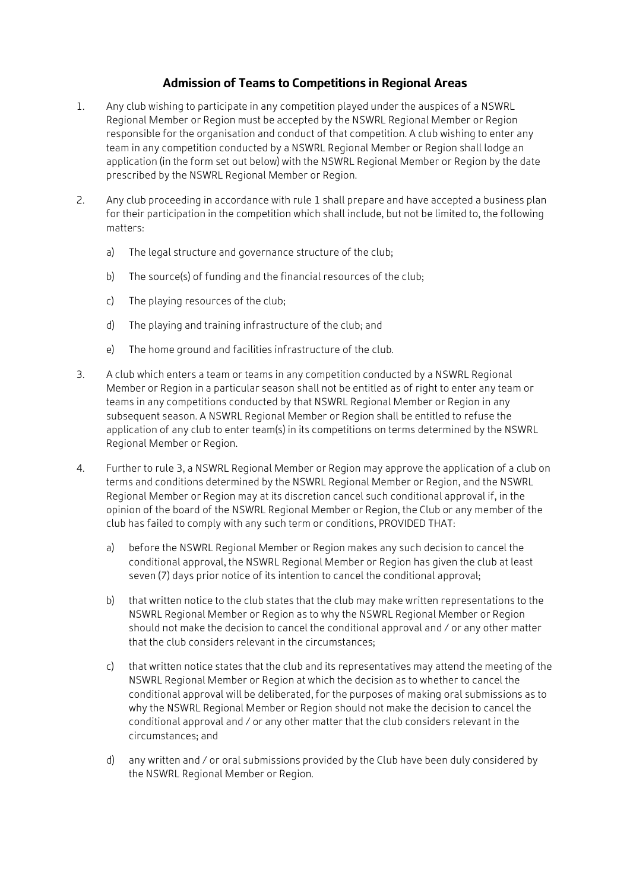## **Admission of Teams to Competitions in Regional Areas**

- 1. Any club wishing to participate in any competition played under the auspices of a NSWRL Regional Member or Region must be accepted by the NSWRL Regional Member or Region responsible for the organisation and conduct of that competition. A club wishing to enter any team in any competition conducted by a NSWRL Regional Member or Region shall lodge an application (in the form set out below) with the NSWRL Regional Member or Region by the date prescribed by the NSWRL Regional Member or Region.
- 2. Any club proceeding in accordance with rule 1 shall prepare and have accepted a business plan for their participation in the competition which shall include, but not be limited to, the following matters:
	- a) The legal structure and governance structure of the club;
	- b) The source(s) of funding and the financial resources of the club;
	- c) The playing resources of the club;
	- d) The playing and training infrastructure of the club; and
	- e) The home ground and facilities infrastructure of the club.
- 3. A club which enters a team or teams in any competition conducted by a NSWRL Regional Member or Region in a particular season shall not be entitled as of right to enter any team or teams in any competitions conducted by that NSWRL Regional Member or Region in any subsequent season. A NSWRL Regional Member or Region shall be entitled to refuse the application of any club to enter team(s) in its competitions on terms determined by the NSWRL Regional Member or Region.
- 4. Further to rule 3, a NSWRL Regional Member or Region may approve the application of a club on terms and conditions determined by the NSWRL Regional Member or Region, and the NSWRL Regional Member or Region may at its discretion cancel such conditional approval if, in the opinion of the board of the NSWRL Regional Member or Region, the Club or any member of the club has failed to comply with any such term or conditions, PROVIDED THAT:
	- a) before the NSWRL Regional Member or Region makes any such decision to cancel the conditional approval, the NSWRL Regional Member or Region has given the club at least seven (7) days prior notice of its intention to cancel the conditional approval;
	- b) that written notice to the club states that the club may make written representations to the NSWRL Regional Member or Region as to why the NSWRL Regional Member or Region should not make the decision to cancel the conditional approval and / or any other matter that the club considers relevant in the circumstances;
	- c) that written notice states that the club and its representatives may attend the meeting of the NSWRL Regional Member or Region at which the decision as to whether to cancel the conditional approval will be deliberated, for the purposes of making oral submissions as to why the NSWRL Regional Member or Region should not make the decision to cancel the conditional approval and / or any other matter that the club considers relevant in the circumstances; and
	- d) any written and / or oral submissions provided by the Club have been duly considered by the NSWRL Regional Member or Region.